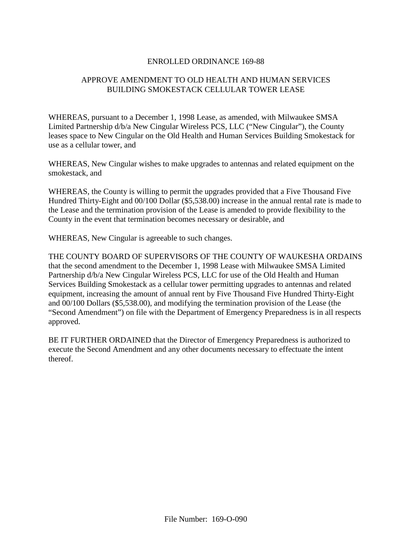## ENROLLED ORDINANCE 169-88

# APPROVE AMENDMENT TO OLD HEALTH AND HUMAN SERVICES BUILDING SMOKESTACK CELLULAR TOWER LEASE

WHEREAS, pursuant to a December 1, 1998 Lease, as amended, with Milwaukee SMSA Limited Partnership d/b/a New Cingular Wireless PCS, LLC ("New Cingular"), the County leases space to New Cingular on the Old Health and Human Services Building Smokestack for use as a cellular tower, and

WHEREAS, New Cingular wishes to make upgrades to antennas and related equipment on the smokestack, and

WHEREAS, the County is willing to permit the upgrades provided that a Five Thousand Five Hundred Thirty-Eight and 00/100 Dollar (\$5,538.00) increase in the annual rental rate is made to the Lease and the termination provision of the Lease is amended to provide flexibility to the County in the event that termination becomes necessary or desirable, and

WHEREAS, New Cingular is agreeable to such changes.

THE COUNTY BOARD OF SUPERVISORS OF THE COUNTY OF WAUKESHA ORDAINS that the second amendment to the December 1, 1998 Lease with Milwaukee SMSA Limited Partnership d/b/a New Cingular Wireless PCS, LLC for use of the Old Health and Human Services Building Smokestack as a cellular tower permitting upgrades to antennas and related equipment, increasing the amount of annual rent by Five Thousand Five Hundred Thirty-Eight and 00/100 Dollars (\$5,538.00), and modifying the termination provision of the Lease (the "Second Amendment") on file with the Department of Emergency Preparedness is in all respects approved.

BE IT FURTHER ORDAINED that the Director of Emergency Preparedness is authorized to execute the Second Amendment and any other documents necessary to effectuate the intent thereof.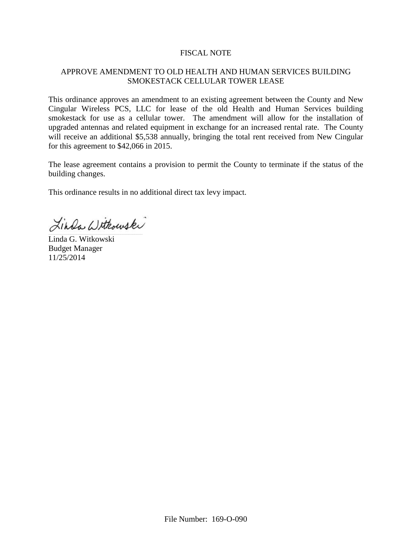### FISCAL NOTE

# APPROVE AMENDMENT TO OLD HEALTH AND HUMAN SERVICES BUILDING SMOKESTACK CELLULAR TOWER LEASE

This ordinance approves an amendment to an existing agreement between the County and New Cingular Wireless PCS, LLC for lease of the old Health and Human Services building smokestack for use as a cellular tower. The amendment will allow for the installation of upgraded antennas and related equipment in exchange for an increased rental rate. The County will receive an additional \$5,538 annually, bringing the total rent received from New Cingular for this agreement to \$42,066 in 2015.

The lease agreement contains a provision to permit the County to terminate if the status of the building changes.

This ordinance results in no additional direct tax levy impact.

Linda Withouski

Linda G. Witkowski Budget Manager 11/25/2014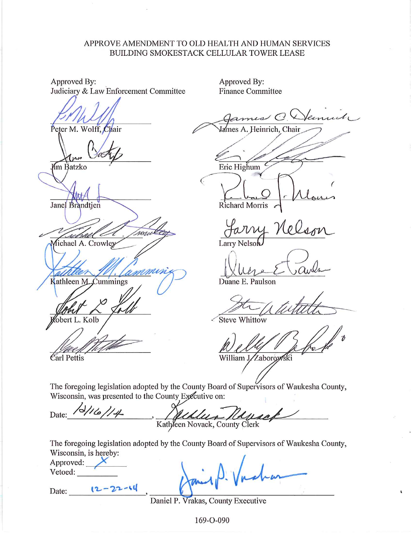### APPROVE AMENDMENT TO OLD HEALTH AND HUMAN SERVICES BUILDING SMOKESTACK CELLULAR TOWER LEASE

Approved By: Judiciary & Law Enforcement Committee

Peter M. Wolff, Chair

Mm Batzko

Janel Brandtien

ronie Michael A. Crowley

Kathleen M. Cummings

obert L. Kolb

Carl Pettis

Approved By: **Finance Committee** 

Heinrich, Chair

Eric Highum

Richard Morris

Larry Nelson

Duane E. Paulson

**Steve Whittow** 

William J. Zaborowski

The foregoing legislation adopted by the County Board of Supervisors of Waukesha County, Wisconsin, was presented to the County Executive on:

 $31614$ Date: Kathleen Novack, County Clerk

The foregoing legislation adopted by the County Board of Supervisors of Waukesha County, Wisconsin, is hereby:

| Approved: |  |
|-----------|--|
| Vetoed:   |  |

 $12 - 22 - 64$ 

Date:

Daniel P. Vrakas, County Executive

169-O-090